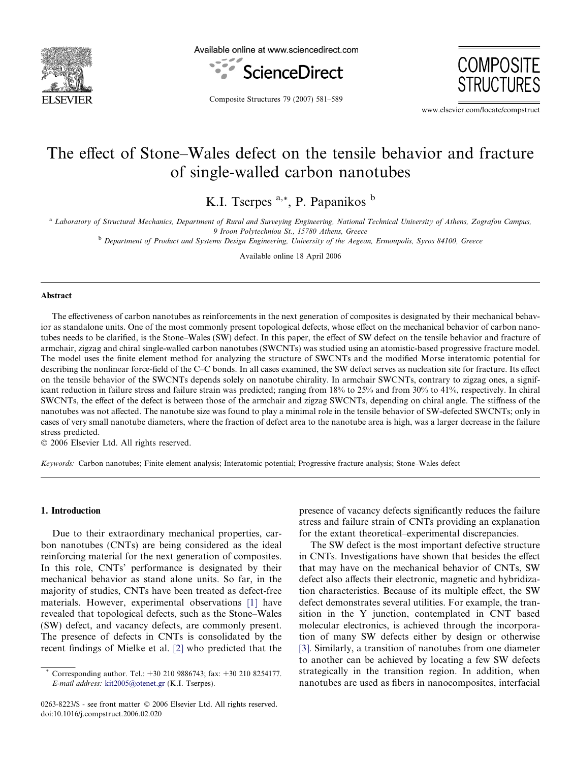

Available online at www.sciencedirect.com



**COMPOSITE STRUCTURES** 

Composite Structures 79 (2007) 581–589

www.elsevier.com/locate/compstruct

# The effect of Stone–Wales defect on the tensile behavior and fracture of single-walled carbon nanotubes

K.I. Tserpes  $a_{k}$ , P. Papanikos  $b$ 

<sup>a</sup> Laboratory of Structural Mechanics, Department of Rural and Surveying Engineering, National Technical University of Athens, Zografou Campus, 9 Iroon Polytechniou St., 15780 Athens, Greece

<sup>b</sup> Department of Product and Systems Design Engineering, University of the Aegean, Ermoupolis, Syros 84100, Greece

Available online 18 April 2006

#### **Abstract**

The effectiveness of carbon nanotubes as reinforcements in the next generation of composites is designated by their mechanical behavior as standalone units. One of the most commonly present topological defects, whose effect on the mechanical behavior of carbon nanotubes needs to be clarified, is the Stone–Wales (SW) defect. In this paper, the effect of SW defect on the tensile behavior and fracture of armchair, zigzag and chiral single-walled carbon nanotubes (SWCNTs) was studied using an atomistic-based progressive fracture model. The model uses the finite element method for analyzing the structure of SWCNTs and the modified Morse interatomic potential for describing the nonlinear force-field of the C–C bonds. In all cases examined, the SW defect serves as nucleation site for fracture. Its effect on the tensile behavior of the SWCNTs depends solely on nanotube chirality. In armchair SWCNTs, contrary to zigzag ones, a significant reduction in failure stress and failure strain was predicted; ranging from 18% to 25% and from 30% to 41%, respectively. In chiral SWCNTs, the effect of the defect is between those of the armchair and zigzag SWCNTs, depending on chiral angle. The stiffness of the nanotubes was not affected. The nanotube size was found to play a minimal role in the tensile behavior of SW-defected SWCNTs; only in cases of very small nanotube diameters, where the fraction of defect area to the nanotube area is high, was a larger decrease in the failure stress predicted.

© 2006 Elsevier Ltd. All rights reserved.

Keywords: Carbon nanotubes; Finite element analysis; Interatomic potential; Progressive fracture analysis; Stone–Wales defect

# 1. Introduction

Due to their extraordinary mechanical properties, carbon nanotubes (CNTs) are being considered as the ideal reinforcing material for the next generation of composites. In this role, CNTs' performance is designated by their mechanical behavior as stand alone units. So far, in the majority of studies, CNTs have been treated as defect-free materials. However, experimental observations [\[1\]](#page-7-0) have revealed that topological defects, such as the Stone–Wales (SW) defect, and vacancy defects, are commonly present. The presence of defects in CNTs is consolidated by the recent findings of Mielke et al. [\[2\]](#page-7-0) who predicted that the presence of vacancy defects significantly reduces the failure stress and failure strain of CNTs providing an explanation for the extant theoretical–experimental discrepancies.

The SW defect is the most important defective structure in CNTs. Investigations have shown that besides the effect that may have on the mechanical behavior of CNTs, SW defect also affects their electronic, magnetic and hybridization characteristics. Because of its multiple effect, the SW defect demonstrates several utilities. For example, the transition in the Y junction, contemplated in CNT based molecular electronics, is achieved through the incorporation of many SW defects either by design or otherwise [\[3\].](#page-7-0) Similarly, a transition of nanotubes from one diameter to another can be achieved by locating a few SW defects strategically in the transition region. In addition, when nanotubes are used as fibers in nanocomposites, interfacial

Corresponding author. Tel.: +30 210 9886743; fax: +30 210 8254177. E-mail address: [kit2005@otenet.gr](mailto:kit2005@otenet.gr) (K.I. Tserpes).

<sup>0263-8223/\$ -</sup> see front matter © 2006 Elsevier Ltd. All rights reserved. doi:10.1016/j.compstruct.2006.02.020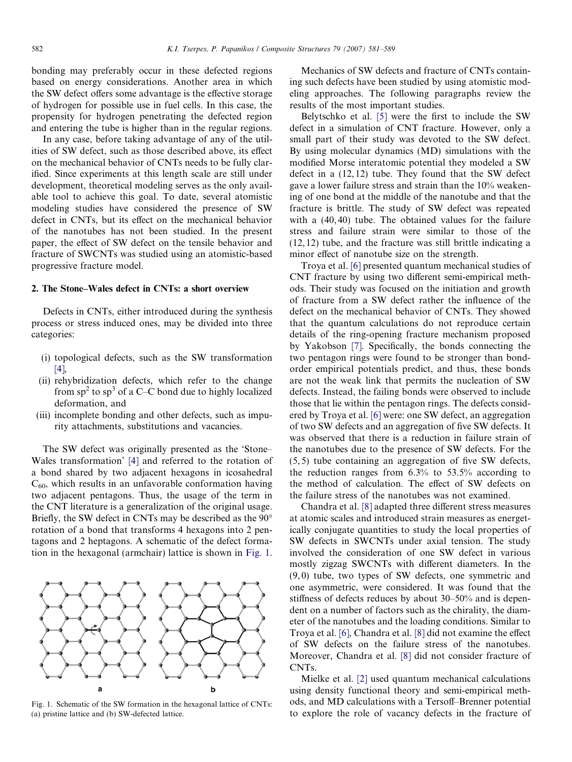<span id="page-1-0"></span>bonding may preferably occur in these defected regions based on energy considerations. Another area in which the SW defect offers some advantage is the effective storage of hydrogen for possible use in fuel cells. In this case, the propensity for hydrogen penetrating the defected region and entering the tube is higher than in the regular regions.

In any case, before taking advantage of any of the utilities of SW defect, such as those described above, its effect on the mechanical behavior of CNTs needs to be fully clarified. Since experiments at this length scale are still under development, theoretical modeling serves as the only available tool to achieve this goal. To date, several atomistic modeling studies have considered the presence of SW defect in CNTs, but its effect on the mechanical behavior of the nanotubes has not been studied. In the present paper, the effect of SW defect on the tensile behavior and fracture of SWCNTs was studied using an atomistic-based progressive fracture model.

#### 2. The Stone–Wales defect in CNTs: a short overview

Defects in CNTs, either introduced during the synthesis process or stress induced ones, may be divided into three categories:

- (i) topological defects, such as the SW transformation [\[4\]](#page-8-0),
- (ii) rehybridization defects, which refer to the change from  $sp<sup>2</sup>$  to  $sp<sup>3</sup>$  of a C–C bond due to highly localized deformation, and
- (iii) incomplete bonding and other defects, such as impurity attachments, substitutions and vacancies.

The SW defect was originally presented as the 'Stone– Wales transformation' [\[4\]](#page-8-0) and referred to the rotation of a bond shared by two adjacent hexagons in icosahedral  $C_{60}$ , which results in an unfavorable conformation having two adjacent pentagons. Thus, the usage of the term in the CNT literature is a generalization of the original usage. Briefly, the SW defect in CNTs may be described as the 90 $^{\circ}$ rotation of a bond that transforms 4 hexagons into 2 pentagons and 2 heptagons. A schematic of the defect formation in the hexagonal (armchair) lattice is shown in Fig. 1.



Fig. 1. Schematic of the SW formation in the hexagonal lattice of CNTs: (a) pristine lattice and (b) SW-defected lattice.

Mechanics of SW defects and fracture of CNTs containing such defects have been studied by using atomistic modeling approaches. The following paragraphs review the results of the most important studies.

Belytschko et al. [\[5\]](#page-8-0) were the first to include the SW defect in a simulation of CNT fracture. However, only a small part of their study was devoted to the SW defect. By using molecular dynamics (MD) simulations with the modified Morse interatomic potential they modeled a SW defect in a (12, 12) tube. They found that the SW defect gave a lower failure stress and strain than the 10% weakening of one bond at the middle of the nanotube and that the fracture is brittle. The study of SW defect was repeated with a (40, 40) tube. The obtained values for the failure stress and failure strain were similar to those of the (12, 12) tube, and the fracture was still brittle indicating a minor effect of nanotube size on the strength.

Troya et al. [\[6\]](#page-8-0) presented quantum mechanical studies of CNT fracture by using two different semi-empirical methods. Their study was focused on the initiation and growth of fracture from a SW defect rather the influence of the defect on the mechanical behavior of CNTs. They showed that the quantum calculations do not reproduce certain details of the ring-opening fracture mechanism proposed by Yakobson [\[7\].](#page-8-0) Specifically, the bonds connecting the two pentagon rings were found to be stronger than bondorder empirical potentials predict, and thus, these bonds are not the weak link that permits the nucleation of SW defects. Instead, the failing bonds were observed to include those that lie within the pentagon rings. The defects considered by Troya et al. [\[6\]](#page-8-0) were: one SW defect, an aggregation of two SW defects and an aggregation of five SW defects. It was observed that there is a reduction in failure strain of the nanotubes due to the presence of SW defects. For the (5, 5) tube containing an aggregation of five SW defects, the reduction ranges from 6.3% to 53.5% according to the method of calculation. The effect of SW defects on the failure stress of the nanotubes was not examined.

Chandra et al. [\[8\]](#page-8-0) adapted three different stress measures at atomic scales and introduced strain measures as energetically conjugate quantities to study the local properties of SW defects in SWCNTs under axial tension. The study involved the consideration of one SW defect in various mostly zigzag SWCNTs with different diameters. In the (9, 0) tube, two types of SW defects, one symmetric and one asymmetric, were considered. It was found that the stiffness of defects reduces by about 30–50% and is dependent on a number of factors such as the chirality, the diameter of the nanotubes and the loading conditions. Similar to Troya et al. [\[6\],](#page-8-0) Chandra et al. [\[8\]](#page-8-0) did not examine the effect of SW defects on the failure stress of the nanotubes. Moreover, Chandra et al. [\[8\]](#page-8-0) did not consider fracture of CNTs.

Mielke et al. [\[2\]](#page-7-0) used quantum mechanical calculations using density functional theory and semi-empirical methods, and MD calculations with a Tersoff–Brenner potential to explore the role of vacancy defects in the fracture of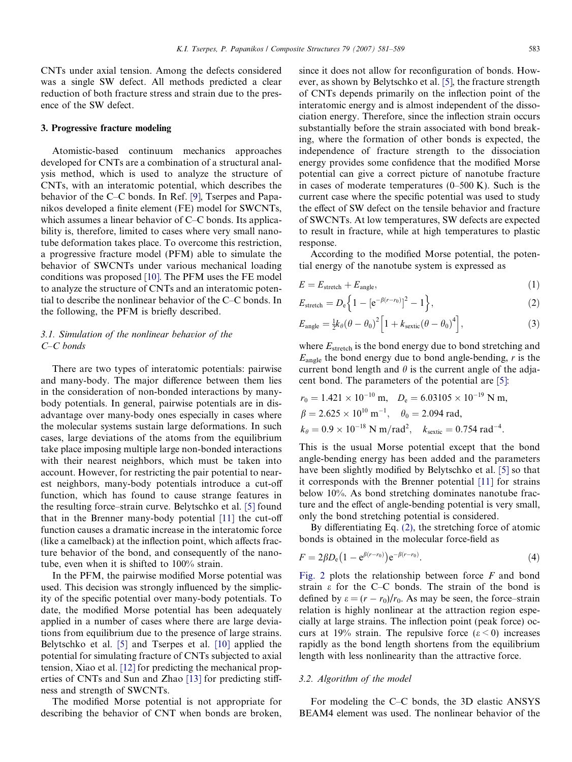<span id="page-2-0"></span>CNTs under axial tension. Among the defects considered was a single SW defect. All methods predicted a clear reduction of both fracture stress and strain due to the presence of the SW defect.

#### 3. Progressive fracture modeling

Atomistic-based continuum mechanics approaches developed for CNTs are a combination of a structural analysis method, which is used to analyze the structure of CNTs, with an interatomic potential, which describes the behavior of the C–C bonds. In Ref. [\[9\],](#page-8-0) Tserpes and Papanikos developed a finite element (FE) model for SWCNTs, which assumes a linear behavior of C–C bonds. Its applicability is, therefore, limited to cases where very small nanotube deformation takes place. To overcome this restriction, a progressive fracture model (PFM) able to simulate the behavior of SWCNTs under various mechanical loading conditions was proposed [\[10\].](#page-8-0) The PFM uses the FE model to analyze the structure of CNTs and an interatomic potential to describe the nonlinear behavior of the C–C bonds. In the following, the PFM is briefly described.

# 3.1. Simulation of the nonlinear behavior of the C–C bonds

There are two types of interatomic potentials: pairwise and many-body. The major difference between them lies in the consideration of non-bonded interactions by manybody potentials. In general, pairwise potentials are in disadvantage over many-body ones especially in cases where the molecular systems sustain large deformations. In such cases, large deviations of the atoms from the equilibrium take place imposing multiple large non-bonded interactions with their nearest neighbors, which must be taken into account. However, for restricting the pair potential to nearest neighbors, many-body potentials introduce a cut-off function, which has found to cause strange features in the resulting force–strain curve. Belytschko et al. [\[5\]](#page-8-0) found that in the Brenner many-body potential [\[11\]](#page-8-0) the cut-off function causes a dramatic increase in the interatomic force (like a camelback) at the inflection point, which affects fracture behavior of the bond, and consequently of the nanotube, even when it is shifted to 100% strain.

In the PFM, the pairwise modified Morse potential was used. This decision was strongly influenced by the simplicity of the specific potential over many-body potentials. To date, the modified Morse potential has been adequately applied in a number of cases where there are large deviations from equilibrium due to the presence of large strains. Belytschko et al. [\[5\]](#page-8-0) and Tserpes et al. [\[10\]](#page-8-0) applied the potential for simulating fracture of CNTs subjected to axial tension, Xiao et al. [\[12\]](#page-8-0) for predicting the mechanical properties of CNTs and Sun and Zhao [\[13\]](#page-8-0) for predicting stiffness and strength of SWCNTs.

The modified Morse potential is not appropriate for describing the behavior of CNT when bonds are broken, since it does not allow for reconfiguration of bonds. However, as shown by Belytschko et al. [\[5\]](#page-8-0), the fracture strength of CNTs depends primarily on the inflection point of the interatomic energy and is almost independent of the dissociation energy. Therefore, since the inflection strain occurs substantially before the strain associated with bond breaking, where the formation of other bonds is expected, the independence of fracture strength to the dissociation energy provides some confidence that the modified Morse potential can give a correct picture of nanotube fracture in cases of moderate temperatures (0–500 K). Such is the current case where the specific potential was used to study the effect of SW defect on the tensile behavior and fracture of SWCNTs. At low temperatures, SW defects are expected to result in fracture, while at high temperatures to plastic response.

According to the modified Morse potential, the potential energy of the nanotube system is expressed as

$$
E = E_{\text{stretch}} + E_{\text{angle}},\tag{1}
$$

$$
E_{\text{stretch}} = D_{e} \left\{ 1 - [e^{-\beta(r - r_0)}]^{2} - 1 \right\},\tag{2}
$$

$$
E_{\text{angle}} = \frac{1}{2}k_{\theta}(\theta - \theta_0)^2 \left[1 + k_{\text{scxtic}}(\theta - \theta_0)^4\right],\tag{3}
$$

where  $E_{\text{stretch}}$  is the bond energy due to bond stretching and  $E_{\text{angle}}$  the bond energy due to bond angle-bending, r is the current bond length and  $\theta$  is the current angle of the adjacent bond. The parameters of the potential are [\[5\]:](#page-8-0)

$$
r_0 = 1.421 \times 10^{-10}
$$
 m,  $D_e = 6.03105 \times 10^{-19}$  N m,  
\n $\beta = 2.625 \times 10^{10}$  m<sup>-1</sup>,  $\theta_0 = 2.094$  rad,  
\n $k_\theta = 0.9 \times 10^{-18}$  N m/rad<sup>2</sup>,  $k_{\text{scxtic}} = 0.754$  rad<sup>-4</sup>.

This is the usual Morse potential except that the bond angle-bending energy has been added and the parameters have been slightly modified by Belytschko et al. [\[5\]](#page-8-0) so that it corresponds with the Brenner potential [\[11\]](#page-8-0) for strains below 10%. As bond stretching dominates nanotube fracture and the effect of angle-bending potential is very small, only the bond stretching potential is considered.

By differentiating Eq. (2), the stretching force of atomic bonds is obtained in the molecular force-field as

$$
F = 2\beta D_e (1 - e^{\beta(r - r_0)}) e^{-\beta(r - r_0)}.
$$
 (4)

[Fig. 2](#page-3-0) plots the relationship between force  $F$  and bond strain  $\varepsilon$  for the C–C bonds. The strain of the bond is defined by  $\varepsilon = (r - r_0)/r_0$ . As may be seen, the force–strain relation is highly nonlinear at the attraction region especially at large strains. The inflection point (peak force) occurs at 19% strain. The repulsive force  $(\varepsilon < 0)$  increases rapidly as the bond length shortens from the equilibrium length with less nonlinearity than the attractive force.

#### 3.2. Algorithm of the model

For modeling the C–C bonds, the 3D elastic ANSYS BEAM4 element was used. The nonlinear behavior of the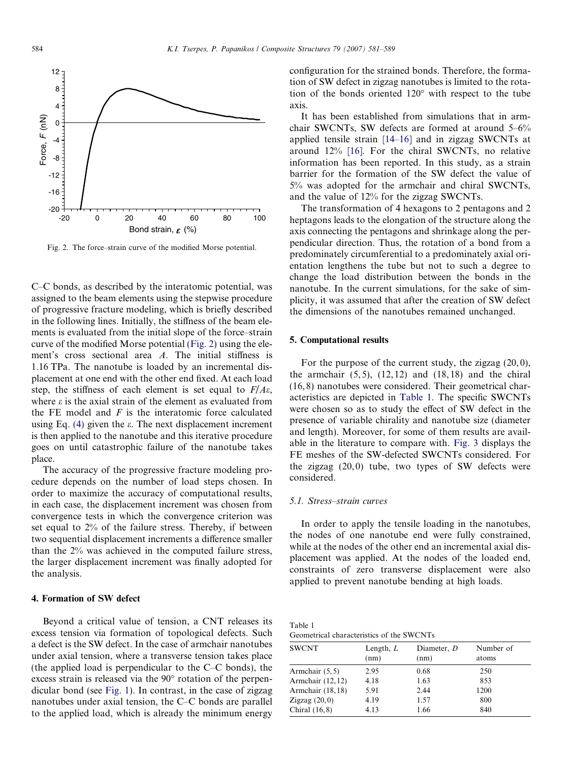<span id="page-3-0"></span>

Fig. 2. The force–strain curve of the modified Morse potential.

C–C bonds, as described by the interatomic potential, was assigned to the beam elements using the stepwise procedure of progressive fracture modeling, which is briefly described in the following lines. Initially, the stiffness of the beam elements is evaluated from the initial slope of the force–strain curve of the modified Morse potential (Fig. 2) using the element's cross sectional area A. The initial stiffness is 1.16 TPa. The nanotube is loaded by an incremental displacement at one end with the other end fixed. At each load step, the stiffness of each element is set equal to  $F/A\varepsilon$ , where  $\varepsilon$  is the axial strain of the element as evaluated from the FE model and  $F$  is the interatomic force calculated using Eq. [\(4\)](#page-2-0) given the  $\varepsilon$ . The next displacement increment is then applied to the nanotube and this iterative procedure goes on until catastrophic failure of the nanotube takes place.

The accuracy of the progressive fracture modeling procedure depends on the number of load steps chosen. In order to maximize the accuracy of computational results, in each case, the displacement increment was chosen from convergence tests in which the convergence criterion was set equal to 2% of the failure stress. Thereby, if between two sequential displacement increments a difference smaller than the 2% was achieved in the computed failure stress, the larger displacement increment was finally adopted for the analysis.

#### 4. Formation of SW defect

Beyond a critical value of tension, a CNT releases its excess tension via formation of topological defects. Such a defect is the SW defect. In the case of armchair nanotubes under axial tension, where a transverse tension takes place (the applied load is perpendicular to the C–C bonds), the excess strain is released via the  $90^{\circ}$  rotation of the perpendicular bond (see [Fig. 1\)](#page-1-0). In contrast, in the case of zigzag nanotubes under axial tension, the C–C bonds are parallel to the applied load, which is already the minimum energy

configuration for the strained bonds. Therefore, the formation of SW defect in zigzag nanotubes is limited to the rotation of the bonds oriented  $120^{\circ}$  with respect to the tube axis.

It has been established from simulations that in armchair SWCNTs, SW defects are formed at around 5–6% applied tensile strain [\[14–16\]](#page-8-0) and in zigzag SWCNTs at around 12% [\[16\]](#page-8-0). For the chiral SWCNTs, no relative information has been reported. In this study, as a strain barrier for the formation of the SW defect the value of 5% was adopted for the armchair and chiral SWCNTs, and the value of 12% for the zigzag SWCNTs.

The transformation of 4 hexagons to 2 pentagons and 2 heptagons leads to the elongation of the structure along the axis connecting the pentagons and shrinkage along the perpendicular direction. Thus, the rotation of a bond from a predominately circumferential to a predominately axial orientation lengthens the tube but not to such a degree to change the load distribution between the bonds in the nanotube. In the current simulations, for the sake of simplicity, it was assumed that after the creation of SW defect the dimensions of the nanotubes remained unchanged.

#### 5. Computational results

For the purpose of the current study, the zigzag  $(20, 0)$ , the armchair  $(5, 5)$ ,  $(12, 12)$  and  $(18, 18)$  and the chiral (16, 8) nanotubes were considered. Their geometrical characteristics are depicted in Table 1. The specific SWCNTs were chosen so as to study the effect of SW defect in the presence of variable chirality and nanotube size (diameter and length). Moreover, for some of them results are available in the literature to compare with. [Fig. 3](#page-4-0) displays the FE meshes of the SW-defected SWCNTs considered. For the zigzag  $(20, 0)$  tube, two types of SW defects were considered.

# 5.1. Stress–strain curves

In order to apply the tensile loading in the nanotubes, the nodes of one nanotube end were fully constrained, while at the nodes of the other end an incremental axial displacement was applied. At the nodes of the loaded end, constraints of zero transverse displacement were also applied to prevent nanotube bending at high loads.

Table 1 Geometrical characteristics of the SWCNTs

| <b>SWCNT</b>      | Length, $L$<br>(nm) | Diameter, D<br>(nm) | Number of<br>atoms |
|-------------------|---------------------|---------------------|--------------------|
| Armchair $(5, 5)$ | 2.95                | 0.68                | 250                |
| Armchair (12,12)  | 4.18                | 1.63                | 853                |
| Armchair (18,18)  | 5.91                | 2.44                | 1200               |
| Zigzag $(20,0)$   | 4.19                | 1.57                | 800                |
| Chiral (16,8)     | 4.13                | 1.66                | 840                |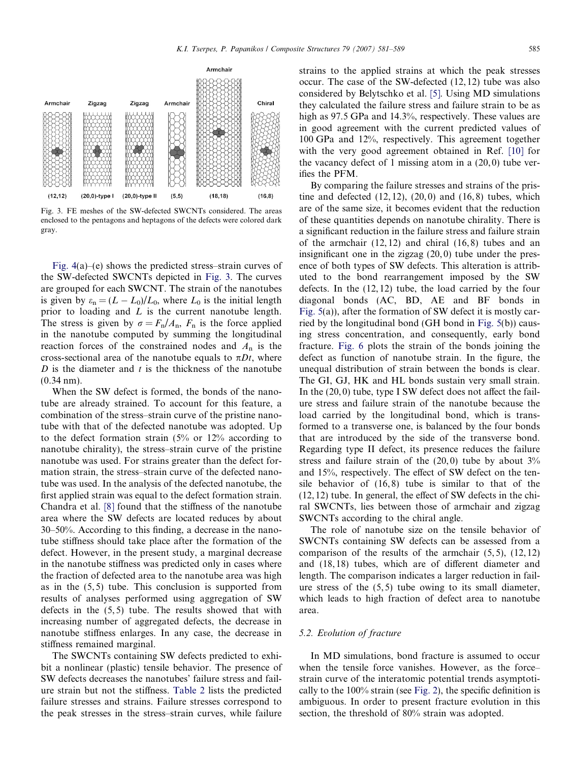<span id="page-4-0"></span>Chiral Armchair Zigzag Zigzag Armchair 父  $\frac{1}{2}$  $(12, 12)$ (20,0)-type I (20,0)-type II  $(5, 5)$  $(18, 18)$  $(16, 8)$ 

Armchair

Fig. 3. FE meshes of the SW-defected SWCNTs considered. The areas enclosed to the pentagons and heptagons of the defects were colored dark gray.

[Fig. 4\(](#page-5-0)a)–(e) shows the predicted stress–strain curves of the SW-defected SWCNTs depicted in Fig. 3. The curves are grouped for each SWCNT. The strain of the nanotubes is given by  $\varepsilon_n = (L - L_0)/L_0$ , where  $L_0$  is the initial length prior to loading and  $L$  is the current nanotube length. The stress is given by  $\sigma = F_n/A_n$ ,  $F_n$  is the force applied in the nanotube computed by summing the longitudinal reaction forces of the constrained nodes and  $A_n$  is the cross-sectional area of the nanotube equals to  $\pi Dt$ , where D is the diameter and  $t$  is the thickness of the nanotube (0.34 nm).

When the SW defect is formed, the bonds of the nanotube are already strained. To account for this feature, a combination of the stress–strain curve of the pristine nanotube with that of the defected nanotube was adopted. Up to the defect formation strain (5% or 12% according to nanotube chirality), the stress–strain curve of the pristine nanotube was used. For strains greater than the defect formation strain, the stress–strain curve of the defected nanotube was used. In the analysis of the defected nanotube, the first applied strain was equal to the defect formation strain. Chandra et al. [\[8\]](#page-8-0) found that the stiffness of the nanotube area where the SW defects are located reduces by about 30–50%. According to this finding, a decrease in the nanotube stiffness should take place after the formation of the defect. However, in the present study, a marginal decrease in the nanotube stiffness was predicted only in cases where the fraction of defected area to the nanotube area was high as in the  $(5, 5)$  tube. This conclusion is supported from results of analyses performed using aggregation of SW defects in the  $(5, 5)$  tube. The results showed that with increasing number of aggregated defects, the decrease in nanotube stiffness enlarges. In any case, the decrease in stiffness remained marginal.

The SWCNTs containing SW defects predicted to exhibit a nonlinear (plastic) tensile behavior. The presence of SW defects decreases the nanotubes' failure stress and failure strain but not the stiffness. [Table 2](#page-6-0) lists the predicted failure stresses and strains. Failure stresses correspond to the peak stresses in the stress–strain curves, while failure strains to the applied strains at which the peak stresses occur. The case of the SW-defected (12, 12) tube was also considered by Belytschko et al. [\[5\]](#page-8-0). Using MD simulations they calculated the failure stress and failure strain to be as high as 97.5 GPa and 14.3%, respectively. These values are in good agreement with the current predicted values of 100 GPa and 12%, respectively. This agreement together with the very good agreement obtained in Ref. [\[10\]](#page-8-0) for the vacancy defect of 1 missing atom in a (20, 0) tube verifies the PFM.

By comparing the failure stresses and strains of the pristine and defected  $(12, 12)$ ,  $(20, 0)$  and  $(16, 8)$  tubes, which are of the same size, it becomes evident that the reduction of these quantities depends on nanotube chirality. There is a significant reduction in the failure stress and failure strain of the armchair  $(12, 12)$  and chiral  $(16, 8)$  tubes and an insignificant one in the zigzag  $(20, 0)$  tube under the presence of both types of SW defects. This alteration is attributed to the bond rearrangement imposed by the SW defects. In the (12, 12) tube, the load carried by the four diagonal bonds (AC, BD, AE and BF bonds in [Fig. 5](#page-6-0)(a)), after the formation of SW defect it is mostly carried by the longitudinal bond (GH bond in [Fig. 5](#page-6-0)(b)) causing stress concentration, and consequently, early bond fracture. [Fig. 6](#page-6-0) plots the strain of the bonds joining the defect as function of nanotube strain. In the figure, the unequal distribution of strain between the bonds is clear. The GI, GJ, HK and HL bonds sustain very small strain. In the (20, 0) tube, type I SW defect does not affect the failure stress and failure strain of the nanotube because the load carried by the longitudinal bond, which is transformed to a transverse one, is balanced by the four bonds that are introduced by the side of the transverse bond. Regarding type II defect, its presence reduces the failure stress and failure strain of the  $(20, 0)$  tube by about  $3\%$ and 15%, respectively. The effect of SW defect on the tensile behavior of (16, 8) tube is similar to that of the (12, 12) tube. In general, the effect of SW defects in the chiral SWCNTs, lies between those of armchair and zigzag SWCNTs according to the chiral angle.

The role of nanotube size on the tensile behavior of SWCNTs containing SW defects can be assessed from a comparison of the results of the armchair  $(5, 5)$ ,  $(12, 12)$ and (18, 18) tubes, which are of different diameter and length. The comparison indicates a larger reduction in failure stress of the  $(5, 5)$  tube owing to its small diameter, which leads to high fraction of defect area to nanotube area.

#### 5.2. Evolution of fracture

In MD simulations, bond fracture is assumed to occur when the tensile force vanishes. However, as the force– strain curve of the interatomic potential trends asymptotically to the 100% strain (see [Fig. 2\)](#page-3-0), the specific definition is ambiguous. In order to present fracture evolution in this section, the threshold of 80% strain was adopted.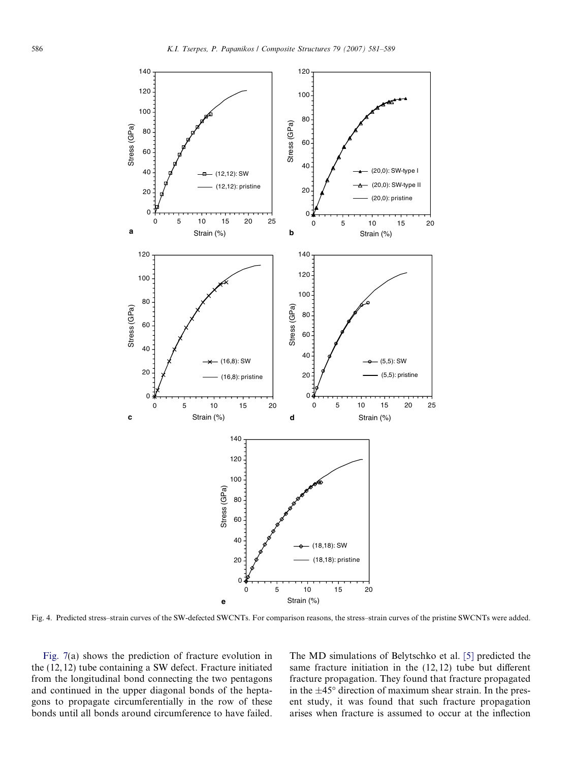<span id="page-5-0"></span>

Fig. 4. Predicted stress–strain curves of the SW-defected SWCNTs. For comparison reasons, the stress–strain curves of the pristine SWCNTs were added.

[Fig. 7\(](#page-6-0)a) shows the prediction of fracture evolution in the (12, 12) tube containing a SW defect. Fracture initiated from the longitudinal bond connecting the two pentagons and continued in the upper diagonal bonds of the heptagons to propagate circumferentially in the row of these bonds until all bonds around circumference to have failed. The MD simulations of Belytschko et al. [\[5\]](#page-8-0) predicted the same fracture initiation in the (12, 12) tube but different fracture propagation. They found that fracture propagated in the  $\pm$ 45 $\degree$  direction of maximum shear strain. In the present study, it was found that such fracture propagation arises when fracture is assumed to occur at the inflection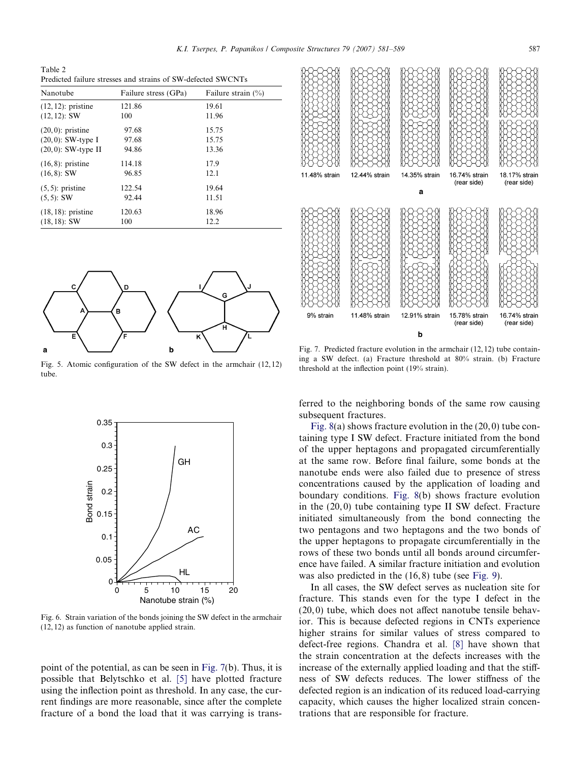<span id="page-6-0"></span>Table 2 Predicted failure stresses and strains of SW-defected SWCNTs

| Nanotube              | Failure stress (GPa) | Failure strain $(\% )$ |
|-----------------------|----------------------|------------------------|
| $(12, 12)$ : pristine | 121.86               | 19.61                  |
| $(12, 12)$ : SW       | 100                  | 11.96                  |
| $(20,0)$ : pristine   | 97.68                | 15.75                  |
| $(20,0)$ : SW-type I  | 97.68                | 15.75                  |
| $(20,0)$ : SW-type II | 94.86                | 13.36                  |
| $(16, 8)$ : pristine  | 114.18               | 17.9                   |
| $(16, 8)$ : SW        | 96.85                | 12.1                   |
| $(5, 5)$ : pristine   | 122.54               | 19.64                  |
| $(5, 5)$ : SW         | 92.44                | 11.51                  |
| $(18, 18)$ : pristine | 120.63               | 18.96                  |
| $(18, 18)$ : SW       | 100                  | 12.2                   |



Fig. 5. Atomic configuration of the SW defect in the armchair (12, 12) tube.



Fig. 6. Strain variation of the bonds joining the SW defect in the armchair (12, 12) as function of nanotube applied strain.

point of the potential, as can be seen in Fig. 7(b). Thus, it is possible that Belytschko et al. [\[5\]](#page-8-0) have plotted fracture using the inflection point as threshold. In any case, the current findings are more reasonable, since after the complete fracture of a bond the load that it was carrying is trans-



Fig. 7. Predicted fracture evolution in the armchair (12, 12) tube containing a SW defect. (a) Fracture threshold at 80% strain. (b) Fracture threshold at the inflection point (19% strain).

ferred to the neighboring bonds of the same row causing subsequent fractures.

[Fig. 8\(](#page-7-0)a) shows fracture evolution in the (20, 0) tube containing type I SW defect. Fracture initiated from the bond of the upper heptagons and propagated circumferentially at the same row. Before final failure, some bonds at the nanotube ends were also failed due to presence of stress concentrations caused by the application of loading and boundary conditions. [Fig. 8](#page-7-0)(b) shows fracture evolution in the (20, 0) tube containing type II SW defect. Fracture initiated simultaneously from the bond connecting the two pentagons and two heptagons and the two bonds of the upper heptagons to propagate circumferentially in the rows of these two bonds until all bonds around circumference have failed. A similar fracture initiation and evolution was also predicted in the (16, 8) tube (see [Fig. 9\)](#page-7-0).

In all cases, the SW defect serves as nucleation site for fracture. This stands even for the type I defect in the (20, 0) tube, which does not affect nanotube tensile behavior. This is because defected regions in CNTs experience higher strains for similar values of stress compared to defect-free regions. Chandra et al. [\[8\]](#page-8-0) have shown that the strain concentration at the defects increases with the increase of the externally applied loading and that the stiffness of SW defects reduces. The lower stiffness of the defected region is an indication of its reduced load-carrying capacity, which causes the higher localized strain concentrations that are responsible for fracture.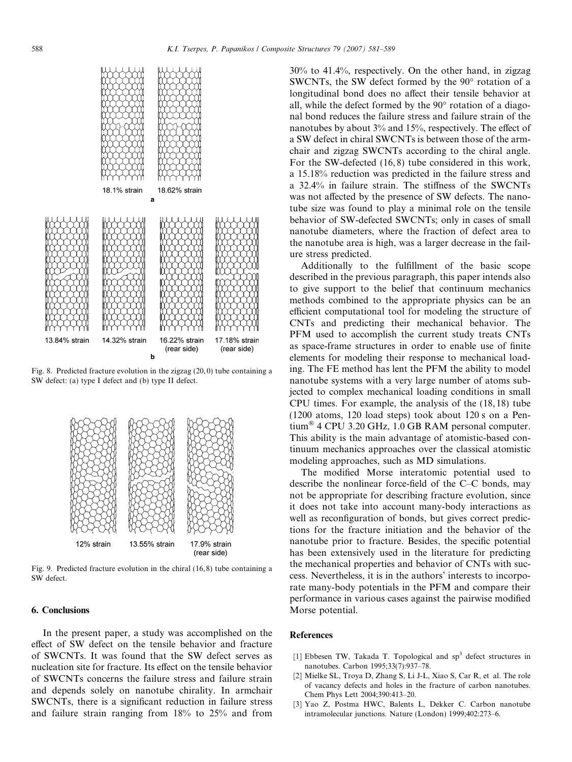<span id="page-7-0"></span>

Fig. 8. Predicted fracture evolution in the zigzag (20, 0) tube containing a SW defect: (a) type I defect and (b) type II defect.



Fig. 9. Predicted fracture evolution in the chiral (16, 8) tube containing a SW defect.

# 6. Conclusions

In the present paper, a study was accomplished on the effect of SW defect on the tensile behavior and fracture of SWCNTs. It was found that the SW defect serves as nucleation site for fracture. Its effect on the tensile behavior of SWCNTs concerns the failure stress and failure strain and depends solely on nanotube chirality. In armchair SWCNTs, there is a significant reduction in failure stress and failure strain ranging from 18% to 25% and from

30% to 41.4%, respectively. On the other hand, in zigzag SWCNTs, the SW defect formed by the  $90^\circ$  rotation of a longitudinal bond does no affect their tensile behavior at all, while the defect formed by the  $90^\circ$  rotation of a diagonal bond reduces the failure stress and failure strain of the nanotubes by about 3% and 15%, respectively. The effect of a SW defect in chiral SWCNTs is between those of the armchair and zigzag SWCNTs according to the chiral angle. For the SW-defected (16, 8) tube considered in this work, a 15.18% reduction was predicted in the failure stress and a 32.4% in failure strain. The stiffness of the SWCNTs was not affected by the presence of SW defects. The nanotube size was found to play a minimal role on the tensile behavior of SW-defected SWCNTs; only in cases of small nanotube diameters, where the fraction of defect area to the nanotube area is high, was a larger decrease in the failure stress predicted.

Additionally to the fulfillment of the basic scope described in the previous paragraph, this paper intends also to give support to the belief that continuum mechanics methods combined to the appropriate physics can be an efficient computational tool for modeling the structure of CNTs and predicting their mechanical behavior. The PFM used to accomplish the current study treats CNTs as space-frame structures in order to enable use of finite elements for modeling their response to mechanical loading. The FE method has lent the PFM the ability to model nanotube systems with a very large number of atoms subjected to complex mechanical loading conditions in small CPU times. For example, the analysis of the (18, 18) tube (1200 atoms, 120 load steps) took about 120 s on a Pentium<sup>®</sup> 4 CPU 3.20 GHz, 1.0 GB RAM personal computer. This ability is the main advantage of atomistic-based continuum mechanics approaches over the classical atomistic modeling approaches, such as MD simulations.

The modified Morse interatomic potential used to describe the nonlinear force-field of the C–C bonds, may not be appropriate for describing fracture evolution, since it does not take into account many-body interactions as well as reconfiguration of bonds, but gives correct predictions for the fracture initiation and the behavior of the nanotube prior to fracture. Besides, the specific potential has been extensively used in the literature for predicting the mechanical properties and behavior of CNTs with success. Nevertheless, it is in the authors' interests to incorporate many-body potentials in the PFM and compare their performance in various cases against the pairwise modified Morse potential.

#### References

- [1] Ebbesen TW, Takada T. Topological and sp<sup>3</sup> defect structures in nanotubes. Carbon 1995;33(7):937–78.
- [2] Mielke SL, Troya D, Zhang S, Li J-L, Xiao S, Car R, et al. The role of vacancy defects and holes in the fracture of carbon nanotubes. Chem Phys Lett 2004;390:413–20.
- [3] Yao Z, Postma HWC, Balents L, Dekker C. Carbon nanotube intramolecular junctions. Nature (London) 1999;402:273–6.